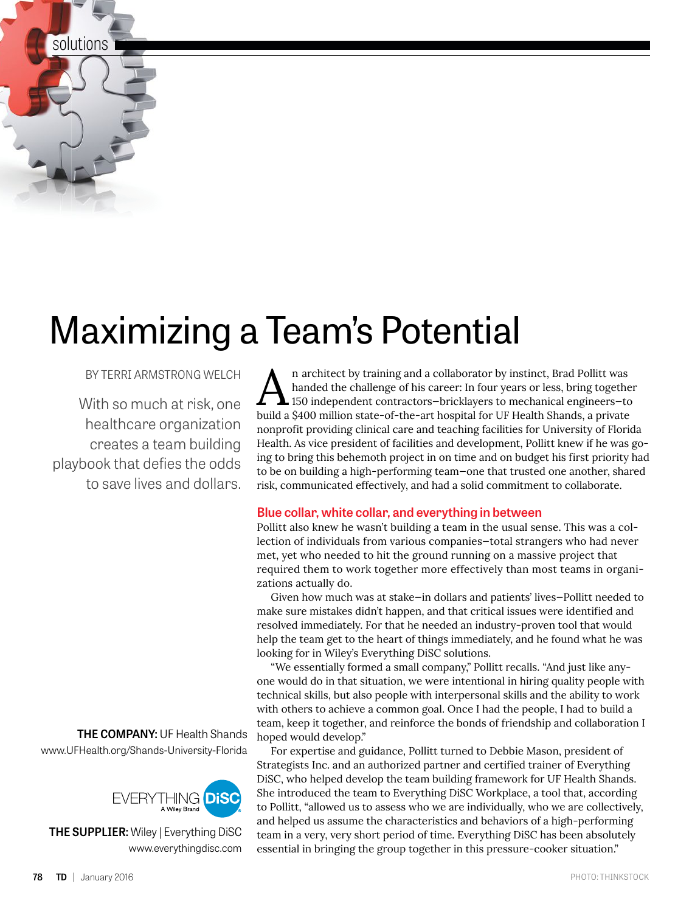solutions

## Maximizing a Team's Potential

BY TERRI ARMSTRONG WELCH

With so much at risk, one healthcare organization creates a team building playbook that defies the odds to save lives and dollars.

**THE COMPANY:** UF Health Shands www.UFHealth.org/Shands-University-Florida



**THE SUPPLIER:** Wiley | Everything DiSC www.everythingdisc.com

An architect by training and a collaborator by instinct, Brad Pollitt was<br>handed the challenge of his career: In four years or less, bring together<br>handed a S400 million state-of-the-art bosnital for UE Health Shands, a pr handed the challenge of his career: In four years or less, bring together 150 independent contractors—bricklayers to mechanical engineers—to build a \$400 million state-of-the-art hospital for UF Health Shands, a private nonprofit providing clinical care and teaching facilities for University of Florida Health. As vice president of facilities and development, Pollitt knew if he was going to bring this behemoth project in on time and on budget his first priority had to be on building a high-performing team—one that trusted one another, shared risk, communicated effectively, and had a solid commitment to collaborate.

## **Blue collar, white collar, and everything in between**

Pollitt also knew he wasn't building a team in the usual sense. This was a collection of individuals from various companies—total strangers who had never met, yet who needed to hit the ground running on a massive project that required them to work together more effectively than most teams in organizations actually do.

Given how much was at stake—in dollars and patients' lives—Pollitt needed to make sure mistakes didn't happen, and that critical issues were identified and resolved immediately. For that he needed an industry-proven tool that would help the team get to the heart of things immediately, and he found what he was looking for in Wiley's Everything DiSC solutions.

"We essentially formed a small company," Pollitt recalls. "And just like anyone would do in that situation, we were intentional in hiring quality people with technical skills, but also people with interpersonal skills and the ability to work with others to achieve a common goal. Once I had the people, I had to build a team, keep it together, and reinforce the bonds of friendship and collaboration I hoped would develop."

For expertise and guidance, Pollitt turned to Debbie Mason, president of Strategists Inc. and an authorized partner and certified trainer of Everything DiSC, who helped develop the team building framework for UF Health Shands. She introduced the team to Everything DiSC Workplace, a tool that, according to Pollitt, "allowed us to assess who we are individually, who we are collectively, and helped us assume the characteristics and behaviors of a high-performing team in a very, very short period of time. Everything DiSC has been absolutely essential in bringing the group together in this pressure-cooker situation."